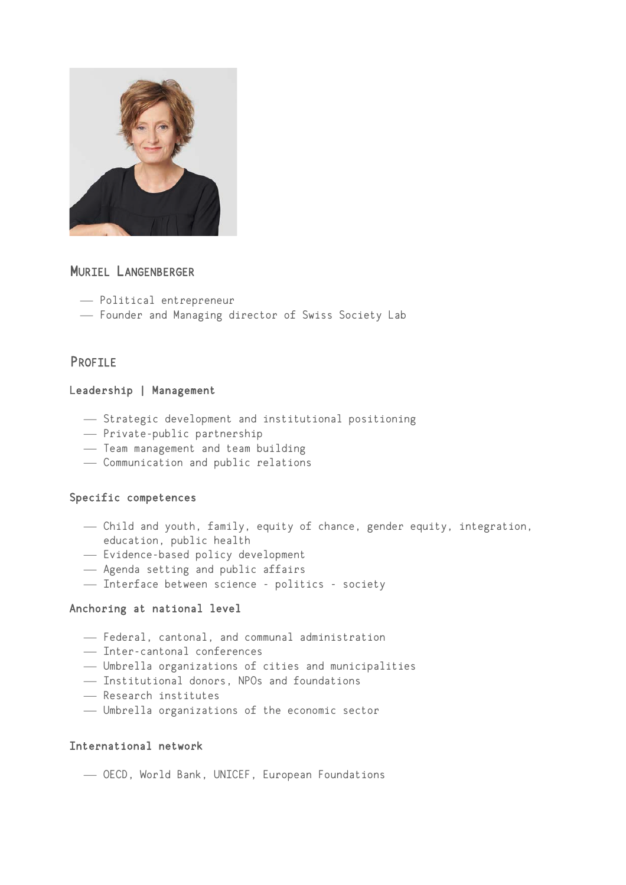

# MURIEL LANGENBERGER

- ¾ Political entrepreneur
- ¾ Founder and Managing director of Swiss Society Lab

## PROFILE

### Leadership | Management

- ¾ Strategic development and institutional positioning
- ¾ Private-public partnership
- Team management and team building
- ¾ Communication and public relations

### Specific competences

- ¾ Child and youth, family, equity of chance, gender equity, integration, education, public health
- Evidence-based policy development
- ¾ Agenda setting and public affairs
- Interface between science politics society

### Anchoring at national level

- ¾ Federal, cantonal, and communal administration
- ¾ Inter-cantonal conferences
- ¾ Umbrella organizations of cities and municipalities
- ¾ Institutional donors, NPOs and foundations
- ¾ Research institutes
- ¾ Umbrella organizations of the economic sector

### International network

¾ OECD, World Bank, UNICEF, European Foundations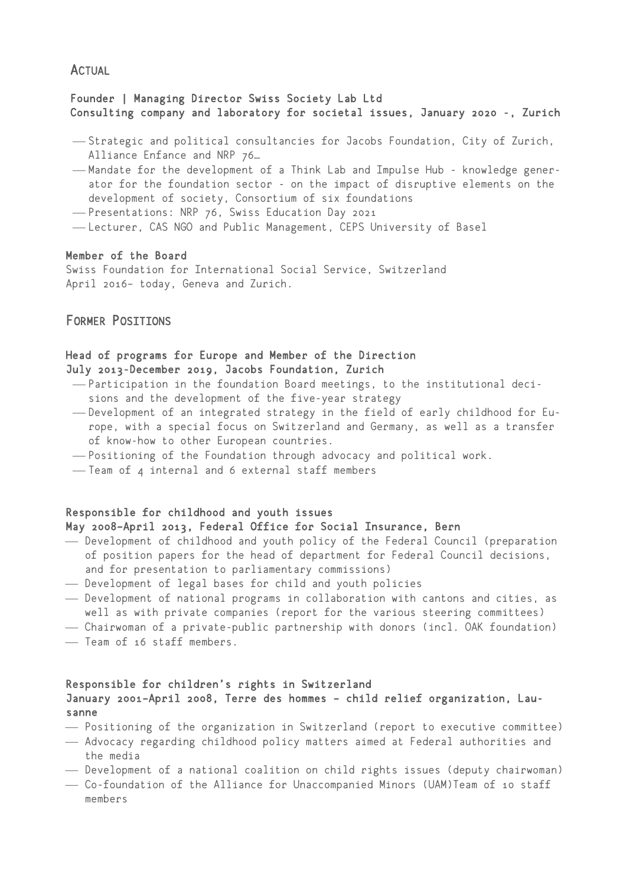## **ACTUAL**

## Founder | Managing Director Swiss Society Lab Ltd Consulting company and laboratory for societal issues, January 2020 -, Zurich

- ¾ Strategic and political consultancies for Jacobs Foundation, City of Zurich, Alliance Enfance and NRP 76…
- -Mandate for the development of a Think Lab and Impulse Hub knowledge generator for the foundation sector - on the impact of disruptive elements on the development of society, Consortium of six foundations
- -Presentations: NRP 76, Swiss Education Day 2021
- Lecturer, CAS NGO and Public Management, CEPS University of Basel

#### Member of the Board

Swiss Foundation for International Social Service, Switzerland April 2016– today, Geneva and Zurich.

## FORMER POSITIONS

### Head of programs for Europe and Member of the Direction July 2013-December 2019, Jacobs Foundation, Zurich

- ¾ Participation in the foundation Board meetings, to the institutional decisions and the development of the five-year strategy
- Development of an integrated strategy in the field of early childhood for Europe, with a special focus on Switzerland and Germany, as well as a transfer of know-how to other European countries.
- ¾ Positioning of the Foundation through advocacy and political work.
- Team of 4 internal and 6 external staff members

#### Responsible for childhood and youth issues May 2008–April 2013, Federal Office for Social Insurance, Bern

- ¾ Development of childhood and youth policy of the Federal Council (preparation of position papers for the head of department for Federal Council decisions, and for presentation to parliamentary commissions)
- ¾ Development of legal bases for child and youth policies
- ¾ Development of national programs in collaboration with cantons and cities, as well as with private companies (report for the various steering committees)
- ¾ Chairwoman of a private-public partnership with donors (incl. OAK foundation)
- ¾ Team of 16 staff members.

### Responsible for children's rights in Switzerland January 2001–April 2008, Terre des hommes – child relief organization, Lausanne

- ¾ Positioning of the organization in Switzerland (report to executive committee)
- ¾ Advocacy regarding childhood policy matters aimed at Federal authorities and the media
- ¾ Development of a national coalition on child rights issues (deputy chairwoman)
- ¾ Co-foundation of the Alliance for Unaccompanied Minors (UAM)Team of 10 staff members